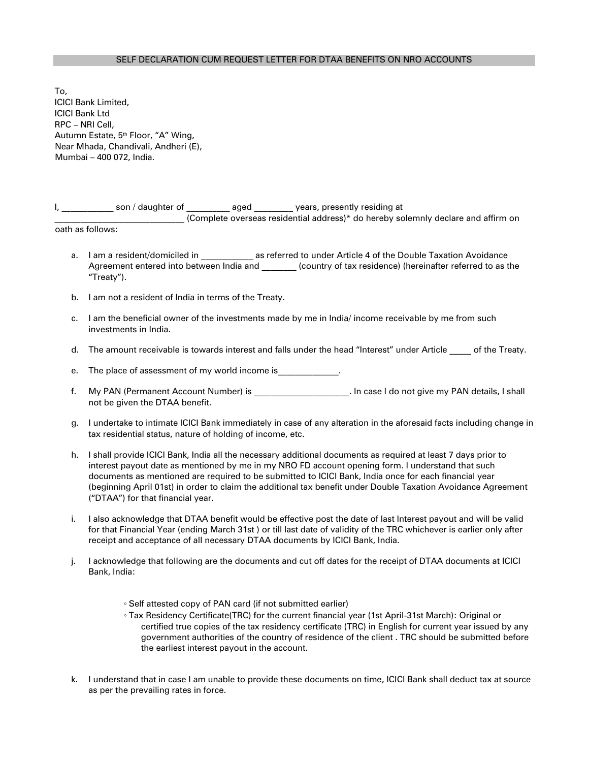## SELF DECLARATION CUM REQUEST LETTER FOR DTAA BENEFITS ON NRO ACCOUNTS

To, ICICI Bank Limited, ICICI Bank Ltd RPC – NRI Cell, Autumn Estate, 5<sup>th</sup> Floor, "A" Wing, Near Mhada, Chandivali, Andheri (E), Mumbai – 400 072, India.

| son / daughter of | aged | years, presently residing at                                                      |  |
|-------------------|------|-----------------------------------------------------------------------------------|--|
|                   |      | (Complete overseas residential address)* do hereby solemnly declare and affirm on |  |
|                   |      |                                                                                   |  |

oath as follows:

- a. I am a resident/domiciled in **and a statural as referred to under Article 4 of the Double Taxation Avoidance** Agreement entered into between India and  $\qquad \qquad$  (country of tax residence) (hereinafter referred to as the "Treaty").
- b. I am not a resident of India in terms of the Treaty.
- c. I am the beneficial owner of the investments made by me in India/ income receivable by me from such investments in India.
- d. The amount receivable is towards interest and falls under the head "Interest" under Article of the Treaty.
- e. The place of assessment of my world income is  $\blacksquare$
- f. My PAN (Permanent Account Number) is \_\_\_\_\_\_\_\_\_\_\_\_\_\_\_\_\_\_\_\_\_. In case I do not give my PAN details, I shall not be given the DTAA benefit.
- g. I undertake to intimate ICICI Bank immediately in case of any alteration in the aforesaid facts including change in tax residential status, nature of holding of income, etc.
- h. I shall provide ICICI Bank, India all the necessary additional documents as required at least 7 days prior to interest payout date as mentioned by me in my NRO FD account opening form. I understand that such documents as mentioned are required to be submitted to ICICI Bank, India once for each financial year (beginning April 01st) in order to claim the additional tax benefit under Double Taxation Avoidance Agreement ("DTAA") for that financial year.
- i. I also acknowledge that DTAA benefit would be effective post the date of last Interest payout and will be valid for that Financial Year (ending March 31st ) or till last date of validity of the TRC whichever is earlier only after receipt and acceptance of all necessary DTAA documents by ICICI Bank, India.
- j. I acknowledge that following are the documents and cut off dates for the receipt of DTAA documents at ICICI Bank, India:
	- Self attested copy of PAN card (if not submitted earlier)
	- Tax Residency Certificate(TRC) for the current financial year (1st April-31st March): Original or certified true copies of the tax residency certificate (TRC) in English for current year issued by any government authorities of the country of residence of the client . TRC should be submitted before the earliest interest payout in the account.
- k. I understand that in case I am unable to provide these documents on time, ICICI Bank shall deduct tax at source as per the prevailing rates in force.